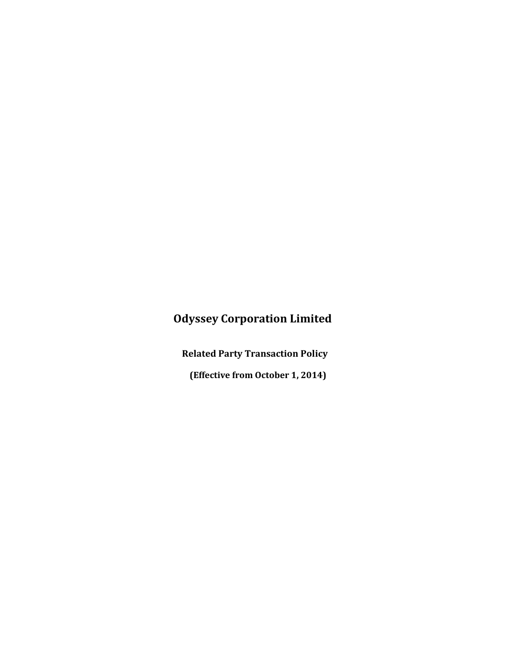# **Odyssey Corporation Limited**

**Related Party Transaction Policy**

**(Effective from October 1, 2014)**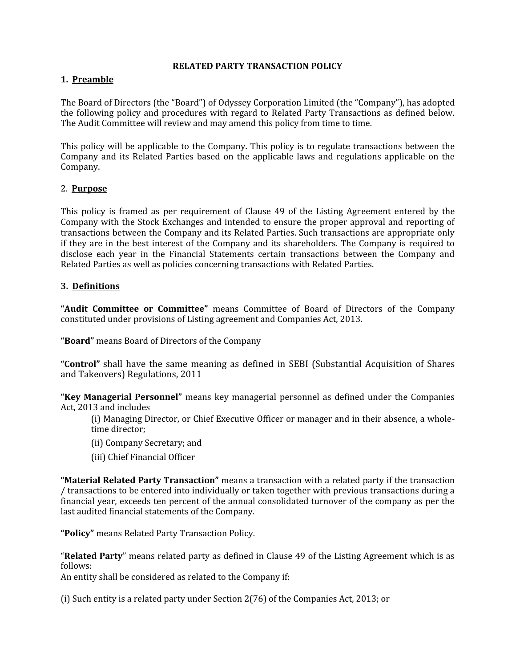## **RELATED PARTY TRANSACTION POLICY**

## **1. Preamble**

The Board of Directors (the "Board") of Odyssey Corporation Limited (the "Company"), has adopted the following policy and procedures with regard to Related Party Transactions as defined below. The Audit Committee will review and may amend this policy from time to time.

This policy will be applicable to the Company**.** This policy is to regulate transactions between the Company and its Related Parties based on the applicable laws and regulations applicable on the Company.

## 2. **Purpose**

This policy is framed as per requirement of Clause 49 of the Listing Agreement entered by the Company with the Stock Exchanges and intended to ensure the proper approval and reporting of transactions between the Company and its Related Parties. Such transactions are appropriate only if they are in the best interest of the Company and its shareholders. The Company is required to disclose each year in the Financial Statements certain transactions between the Company and Related Parties as well as policies concerning transactions with Related Parties.

## **3. Definitions**

**"Audit Committee or Committee"** means Committee of Board of Directors of the Company constituted under provisions of Listing agreement and Companies Act, 2013.

**"Board"** means Board of Directors of the Company

**"Control"** shall have the same meaning as defined in SEBI (Substantial Acquisition of Shares and Takeovers) Regulations, 2011

**"Key Managerial Personnel"** means key managerial personnel as defined under the Companies Act, 2013 and includes

(i) Managing Director, or Chief Executive Officer or manager and in their absence, a whole time director;

- (ii) Company Secretary; and
- (iii) Chief Financial Officer

**"Material Related Party Transaction"** means a transaction with a related party if the transaction / transactions to be entered into individually or taken together with previous transactions during a financial year, exceeds ten percent of the annual consolidated turnover of the company as per the last audited financial statements of the Company.

**"Policy"** means Related Party Transaction Policy.

"**Related Party**" means related party as defined in Clause 49 of the Listing Agreement which is as follows:

An entity shall be considered as related to the Company if:

(i) Such entity is a related party under Section 2(76) of the Companies Act, 2013; or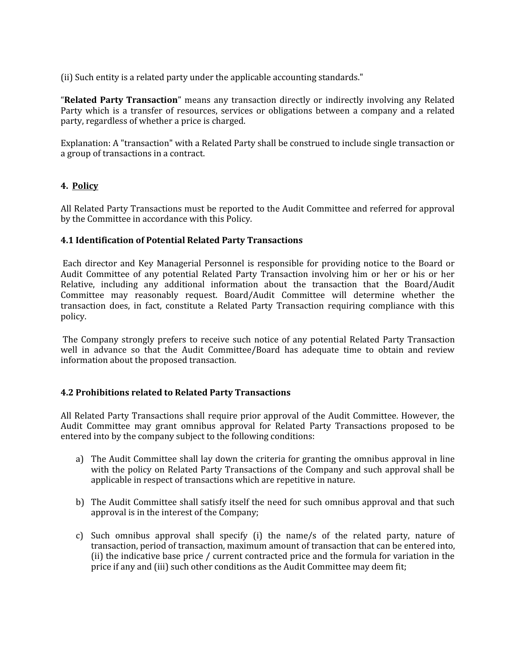(ii) Such entity is a related party under the applicable accounting standards."

"**Related Party Transaction**" means any transaction directly or indirectly involving any Related Party which is a transfer of resources, services or obligations between a company and a related party, regardless of whether a price is charged.

Explanation: A "transaction" with a Related Party shall be construed to include single transaction or a group of transactions in a contract.

# **4. Policy**

All Related Party Transactions must be reported to the Audit Committee and referred for approval by the Committee in accordance with this Policy.

## **4.1 Identification of Potential Related Party Transactions**

Each director and Key Managerial Personnel is responsible for providing notice to the Board or Audit Committee of any potential Related Party Transaction involving him or her or his or her Relative, including any additional information about the transaction that the Board/Audit Committee may reasonably request. Board/Audit Committee will determine whether the transaction does, in fact, constitute a Related Party Transaction requiring compliance with this policy.

The Company strongly prefers to receive such notice of any potential Related Party Transaction well in advance so that the Audit Committee/Board has adequate time to obtain and review information about the proposed transaction.

## **4.2 Prohibitions related to Related Party Transactions**

All Related Party Transactions shall require prior approval of the Audit Committee. However, the Audit Committee may grant omnibus approval for Related Party Transactions proposed to be entered into by the company subject to the following conditions:

- a) The Audit Committee shall lay down the criteria for granting the omnibus approval in line with the policy on Related Party Transactions of the Company and such approval shall be applicable in respect of transactions which are repetitive in nature.
- b) The Audit Committee shall satisfy itself the need for such omnibus approval and that such approval is in the interest of the Company;
- c) Such omnibus approval shall specify (i) the name/s of the related party, nature of transaction, period of transaction, maximum amount of transaction that can be entered into, (ii) the indicative base price / current contracted price and the formula for variation in the price if any and (iii) such other conditions as the Audit Committee may deem fit;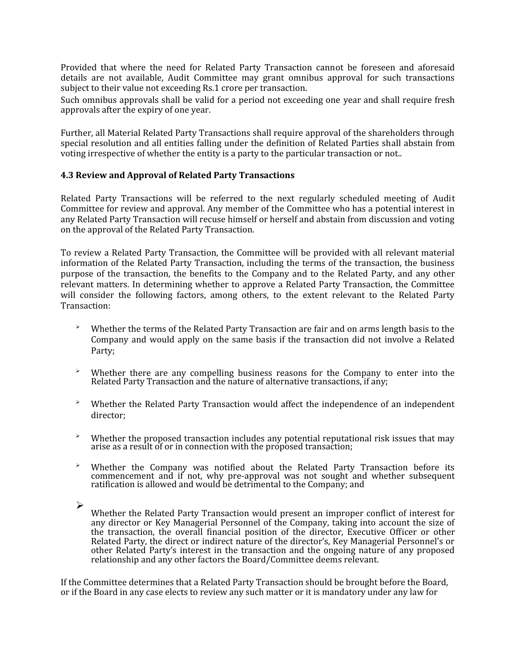Provided that where the need for Related Party Transaction cannot be foreseen and aforesaid details are not available, Audit Committee may grant omnibus approval for such transactions subject to their value not exceeding Rs.1 crore per transaction.

Such omnibus approvals shall be valid for a period not exceeding one year and shall require fresh approvals after the expiry of one year.

Further, all Material Related Party Transactions shall require approval of the shareholders through special resolution and all entities falling under the definition of Related Parties shall abstain from voting irrespective of whether the entity is a party to the particular transaction or not..

## **4.3 Review and Approval of Related Party Transactions**

Related Party Transactions will be referred to the next regularly scheduled meeting of Audit Committee for review and approval. Any member of the Committee who has a potential interest in any Related Party Transaction will recuse himself or herself and abstain from discussion and voting on the approval of the Related Party Transaction.

To review a Related Party Transaction, the Committee will be provided with all relevant material information of the Related Party Transaction, including the terms of the transaction, the business purpose of the transaction, the benefits to the Company and to the Related Party, and any other relevant matters. In determining whether to approve a Related Party Transaction, the Committee will consider the following factors, among others, to the extent relevant to the Related Party Transaction:

- $\sim$  Whether the terms of the Related Party Transaction are fair and on arms length basis to the Company and would apply on the same basis if the transaction did not involve a Related Party;
- Whether there are any compelling business reasons for the Company to enter into the Related Party Transaction and the nature of alternative transactions, if any;
- Whether the Related Party Transaction would affect the independence of an independent director;
- $\rightarrow$  Whether the proposed transaction includes any potential reputational risk issues that may arise as a result of or in connection with the proposed transaction;
- Whether the Company was notified about the Related Party Transaction before its commencement and if not, why pre-approval was not sought and whether subsequent<br>ratification is allowed and would be detrimental to the Company; and
- $\sum_{i=1}^{n}$ Whether the Related Party Transaction would present an improper conflict of interest for any director or Key Managerial Personnel of the Company, taking into account the size of the transaction, the overall financial position of the director, Executive Officer or other Related Party, the direct or indirect nature of the director's, Key Managerial Personnel's or other Related Party's interest in the transaction and the ongoing nature of any proposed relationship and any other factors the Board/Committee deems relevant.

If the Committee determines that a Related Party Transaction should be brought before the Board, or if the Board in any case elects to review any such matter or it is mandatory under any law for